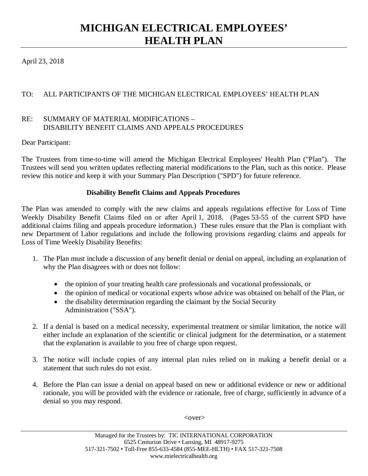## **MICHIGAN ELECTRICAL EMPLOYEES' HEALTH PLAN**

April 23, 2018

## TO: ALL PARTICIPANTS OF THE MICHIGAN ELECTRICAL EMPLOYEES' HEALTH PLAN

## RE: SUMMARY OF MATERIAL MODIFICATIONS – DISABILITY BENEFIT CLAIMS AND APPEALS PROCEDURES

Dear Participant:

The Trustees from time-to-time will amend the Michigan Electrical Employees' Health Plan ("Plan"). The Trustees will send you written updates reflecting material modifications to the Plan, such as this notice. Please review this notice and keep it with your Summary Plan Description ("SPD") for future reference.

## **Disability Benefit Claims and Appeals Procedures**

The Plan was amended to comply with the new claims and appeals regulations effective for Loss of Time Weekly Disability Benefit Claims filed on or after April 1, 2018. (Pages 53-55 of the current SPD have additional claims filing and appeals procedure information.) These rules ensure that the Plan is compliant with new Department of Labor regulations and include the following provisions regarding claims and appeals for Loss of Time Weekly Disability Benefits:

- 1. The Plan must include a discussion of any benefit denial or denial on appeal, including an explanation of why the Plan disagrees with or does not follow:
	- the opinion of your treating health care professionals and vocational professionals, or
	- the opinion of medical or vocational experts whose advice was obtained on behalf of the Plan, or
	- the disability determination regarding the claimant by the Social Security Administration ("SSA").
- 2. If a denial is based on a medical necessity, experimental treatment or similar limitation, the notice will either include an explanation of the scientific or clinical judgment for the determination, or a statement that the explanation is available to you free of charge upon request.
- 3. The notice will include copies of any internal plan rules relied on in making a benefit denial or a statement that such rules do not exist.
- 4. Before the Plan can issue a denial on appeal based on new or additional evidence or new or additional rationale, you will be provided with the evidence or rationale, free of charge, sufficiently in advance of a denial so you may respond.

 $<$ over $>$